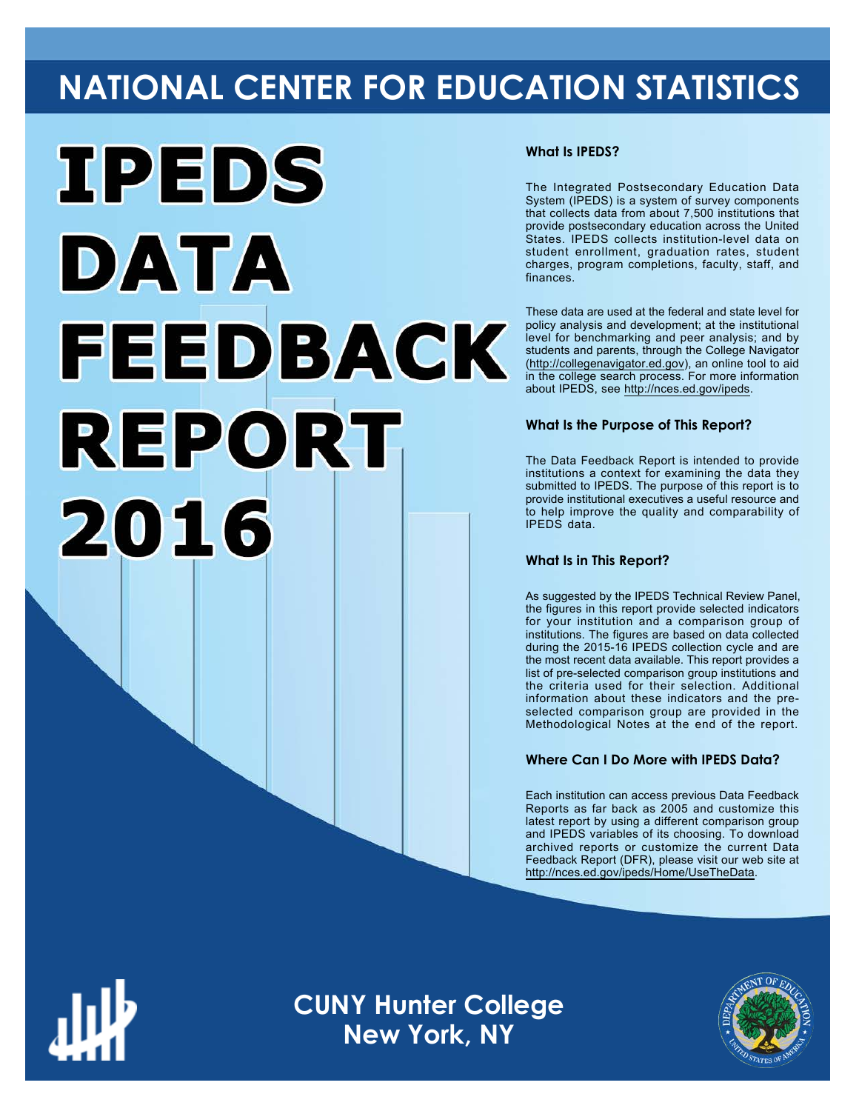## **NATIONAL CENTER FOR EDUCATION STATISTICS**



#### **What Is IPEDS?**

The Integrated Postsecondary Education Data System (IPEDS) is a system of survey components that collects data from about 7,500 institutions that provide postsecondary education across the United States. IPEDS collects institution-level data on student enrollment, graduation rates, student charges, program completions, faculty, staff, and finances.

These data are used at the federal and state level for policy analysis and development; at the institutional level for benchmarking and peer analysis; and by students and parents, through the College Navigator ([http://collegenavigator.ed.gov\)](http://collegenavigator.ed.gov), an online tool to aid in the college search process. For more information about IPEDS, see [http://nces.ed.gov/ipeds.](http://nces.ed.gov/ipeds)

#### **What Is the Purpose of This Report?**

The Data Feedback Report is intended to provide institutions a context for examining the data they submitted to IPEDS. The purpose of this report is to provide institutional executives a useful resource and to help improve the quality and comparability of IPEDS data.

#### **What Is in This Report?**

As suggested by the IPEDS Technical Review Panel, the figures in this report provide selected indicators for your institution and a comparison group of institutions. The figures are based on data collected during the 2015-16 IPEDS collection cycle and are the most recent data available. This report provides a list of pre-selected comparison group institutions and the criteria used for their selection. Additional information about these indicators and the preselected comparison group are provided in the Methodological Notes at the end of the report.

#### **Where Can I Do More with IPEDS Data?**

Each institution can access previous Data Feedback Reports as far back as 2005 and customize this latest report by using a different comparison group and IPEDS variables of its choosing. To download archived reports or customize the current Data Feedback Report (DFR), please visit our web site at [http://nces.ed.gov/ipeds/Home/UseTheData.](http://nces.ed.gov/ipeds/Home/UseTheData)



**CUNY Hunter College New York, NY**

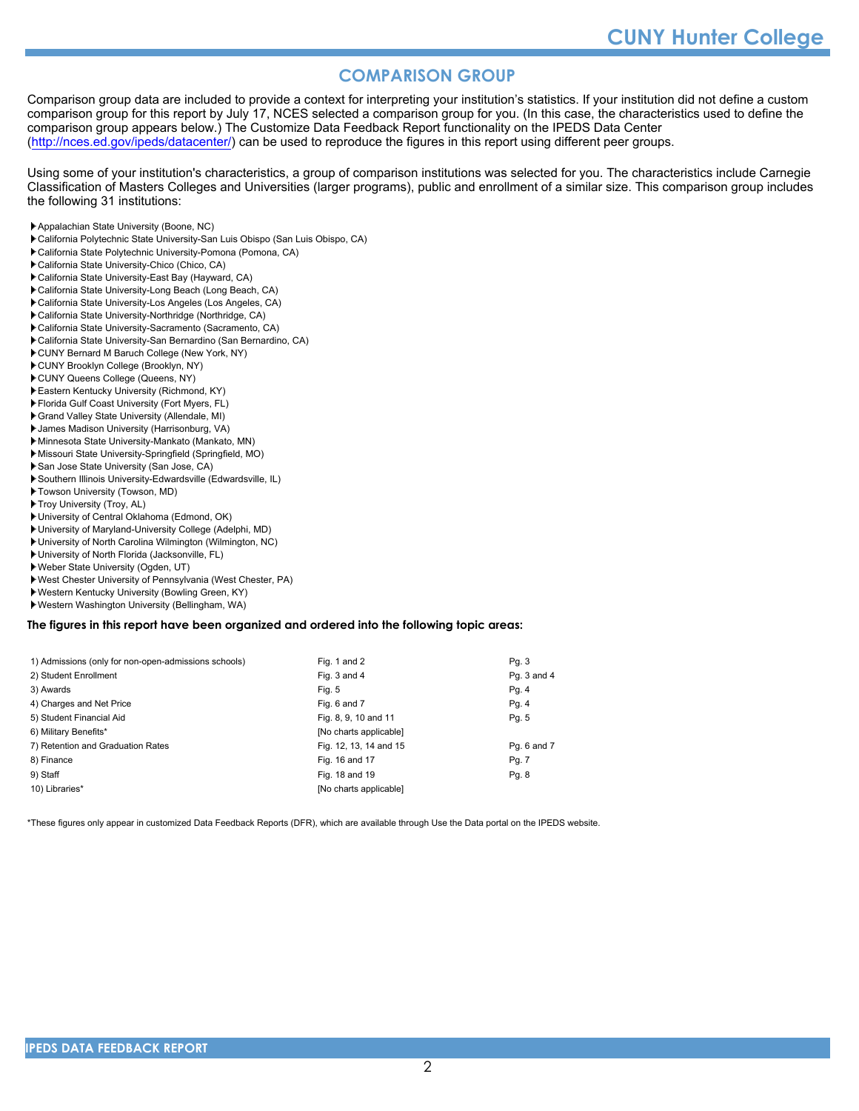#### **COMPARISON GROUP**

Comparison group data are included to provide a context for interpreting your institution's statistics. If your institution did not define a custom comparison group for this report by July 17, NCES selected a comparison group for you. (In this case, the characteristics used to define the comparison group appears below.) The Customize Data Feedback Report functionality on the IPEDS Data Center [\(http://nces.ed.gov/ipeds/datacenter/\)](http://nces.ed.gov/ipeds/datacenter/) can be used to reproduce the figures in this report using different peer groups.

Using some of your institution's characteristics, a group of comparison institutions was selected for you. The characteristics include Carnegie Classification of Masters Colleges and Universities (larger programs), public and enrollment of a similar size. This comparison group includes the following 31 institutions:

- Appalachian State University (Boone, NC)
- California Polytechnic State University-San Luis Obispo (San Luis Obispo, CA)
- California State Polytechnic University-Pomona (Pomona, CA)
- California State University-Chico (Chico, CA)
- California State University-East Bay (Hayward, CA)
- California State University-Long Beach (Long Beach, CA)
- California State University-Los Angeles (Los Angeles, CA)
- California State University-Northridge (Northridge, CA)
- California State University-Sacramento (Sacramento, CA)
- California State University-San Bernardino (San Bernardino, CA)
- CUNY Bernard M Baruch College (New York, NY)
- CUNY Brooklyn College (Brooklyn, NY) CUNY Queens College (Queens, NY)
- Eastern Kentucky University (Richmond, KY)
- Florida Gulf Coast University (Fort Myers, FL)
- Grand Valley State University (Allendale, MI)
- James Madison University (Harrisonburg, VA)
- Minnesota State University-Mankato (Mankato, MN)
- Missouri State University-Springfield (Springfield, MO)
- San Jose State University (San Jose, CA)
- Southern Illinois University-Edwardsville (Edwardsville, IL)
- Towson University (Towson, MD)
- Troy University (Troy, AL)
- University of Central Oklahoma (Edmond, OK)
- University of Maryland-University College (Adelphi, MD)
- University of North Carolina Wilmington (Wilmington, NC)
- University of North Florida (Jacksonville, FL)
- Weber State University (Ogden, UT)
- West Chester University of Pennsylvania (West Chester, PA)
- Western Kentucky University (Bowling Green, KY)
- Western Washington University (Bellingham, WA)

#### **The figures in this report have been organized and ordered into the following topic areas:**

| 1) Admissions (only for non-open-admissions schools) | Fig. 1 and 2           | Pg. 3       |
|------------------------------------------------------|------------------------|-------------|
| 2) Student Enrollment                                | Fig. 3 and 4           | Pg. 3 and 4 |
| 3) Awards                                            | Fig. 5                 | Pg. 4       |
| 4) Charges and Net Price                             | Fig. 6 and 7           | Pg. 4       |
| 5) Student Financial Aid                             | Fig. 8, 9, 10 and 11   | Pg. 5       |
| 6) Military Benefits*                                | [No charts applicable] |             |
| 7) Retention and Graduation Rates                    | Fig. 12, 13, 14 and 15 | Pg. 6 and 7 |
| 8) Finance                                           | Fig. 16 and 17         | Pg. 7       |
| 9) Staff                                             | Fig. 18 and 19         | Pg. 8       |
| 10) Libraries*                                       | [No charts applicable] |             |

\*These figures only appear in customized Data Feedback Reports (DFR), which are available through Use the Data portal on the IPEDS website.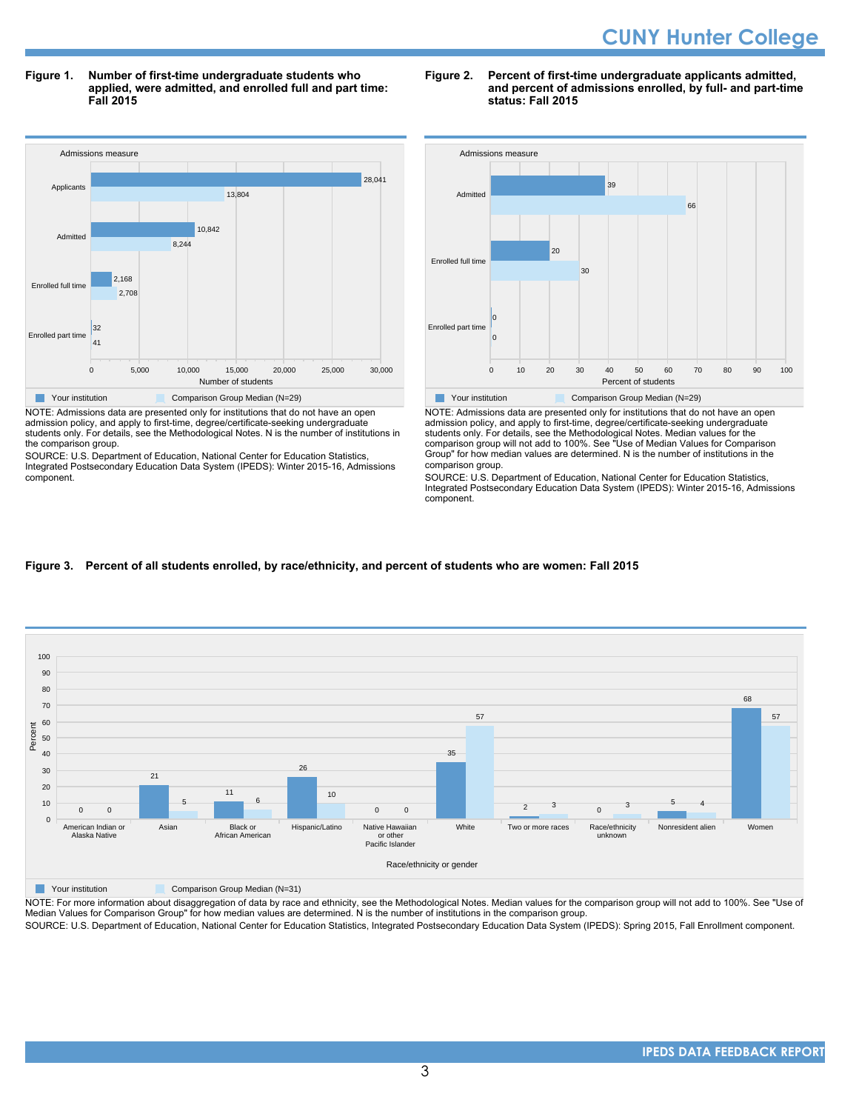**Figure 1. Number of first-time undergraduate students who applied, were admitted, and enrolled full and part time: Fall 2015**



NOTE: Admissions data are presented only for institutions that do not have an open admission policy, and apply to first-time, degree/certificate-seeking undergraduate students only. For details, see the Methodological Notes. N is the number of institutions in the comparison group.

SOURCE: U.S. Department of Education, National Center for Education Statistics, Integrated Postsecondary Education Data System (IPEDS): Winter 2015-16, Admissions component.

#### **Figure 2. Percent of first-time undergraduate applicants admitted, and percent of admissions enrolled, by full- and part-time status: Fall 2015**



NOTE: Admissions data are presented only for institutions that do not have an open admission policy, and apply to first-time, degree/certificate-seeking undergraduate students only. For details, see the Methodological Notes. Median values for the comparison group will not add to 100%. See "Use of Median Values for Comparison Group" for how median values are determined. N is the number of institutions in the comparison group.

SOURCE: U.S. Department of Education, National Center for Education Statistics, Integrated Postsecondary Education Data System (IPEDS): Winter 2015-16, Admissions component.

#### **Figure 3. Percent of all students enrolled, by race/ethnicity, and percent of students who are women: Fall 2015**



**The Comparison Group Median (N=31)** Comparison Group Median (N=31)

NOTE: For more information about disaggregation of data by race and ethnicity, see the Methodological Notes. Median values for the comparison group will not add to 100%. See "Use of Median Values for Comparison Group" for how median values are determined. N is the number of institutions in the comparison group. SOURCE: U.S. Department of Education, National Center for Education Statistics, Integrated Postsecondary Education Data System (IPEDS): Spring 2015, Fall Enrollment component.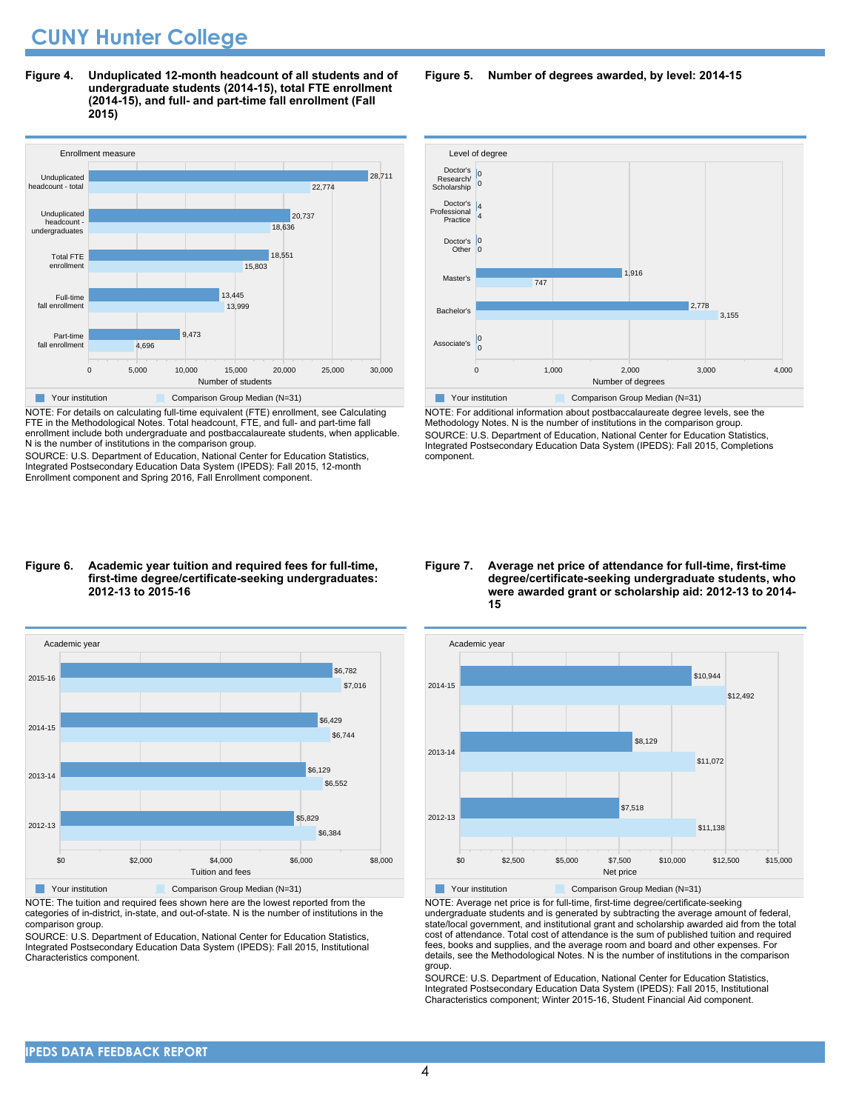**Figure 4. Unduplicated 12-month headcount of all students and of undergraduate students (2014-15), total FTE enrollment (2014-15), and full- and part-time fall enrollment (Fall 2015)**



NOTE: For details on calculating full-time equivalent (FTE) enrollment, see Calculating FTE in the Methodological Notes. Total headcount, FTE, and full- and part-time fall enrollment include both undergraduate and postbaccalaureate students, when applicable. N is the number of institutions in the comparison group.

SOURCE: U.S. Department of Education, National Center for Education Statistics, Integrated Postsecondary Education Data System (IPEDS): Fall 2015, 12-month Enrollment component and Spring 2016, Fall Enrollment component.

#### **Figure 6. Academic year tuition and required fees for full-time, first-time degree/certificate-seeking undergraduates: 2012-13 to 2015-16**



NOTE: The tuition and required fees shown here are the lowest reported from the categories of in-district, in-state, and out-of-state. N is the number of institutions in the comparison group.

SOURCE: U.S. Department of Education, National Center for Education Statistics, Integrated Postsecondary Education Data System (IPEDS): Fall 2015, Institutional Characteristics component.

**Figure 5. Number of degrees awarded, by level: 2014-15**



NOTE: For additional information about postbaccalaureate degree levels, see the Methodology Notes. N is the number of institutions in the comparison group. SOURCE: U.S. Department of Education, National Center for Education Statistics, Integrated Postsecondary Education Data System (IPEDS): Fall 2015, Completions component.

**Figure 7. Average net price of attendance for full-time, first-time degree/certificate-seeking undergraduate students, who were awarded grant or scholarship aid: 2012-13 to 2014- 15**



NOTE: Average net price is for full-time, first-time degree/certificate-seeking undergraduate students and is generated by subtracting the average amount of federal, state/local government, and institutional grant and scholarship awarded aid from the total cost of attendance. Total cost of attendance is the sum of published tuition and required fees, books and supplies, and the average room and board and other expenses. For details, see the Methodological Notes. N is the number of institutions in the comparison group.

SOURCE: U.S. Department of Education, National Center for Education Statistics, Integrated Postsecondary Education Data System (IPEDS): Fall 2015, Institutional Characteristics component; Winter 2015-16, Student Financial Aid component.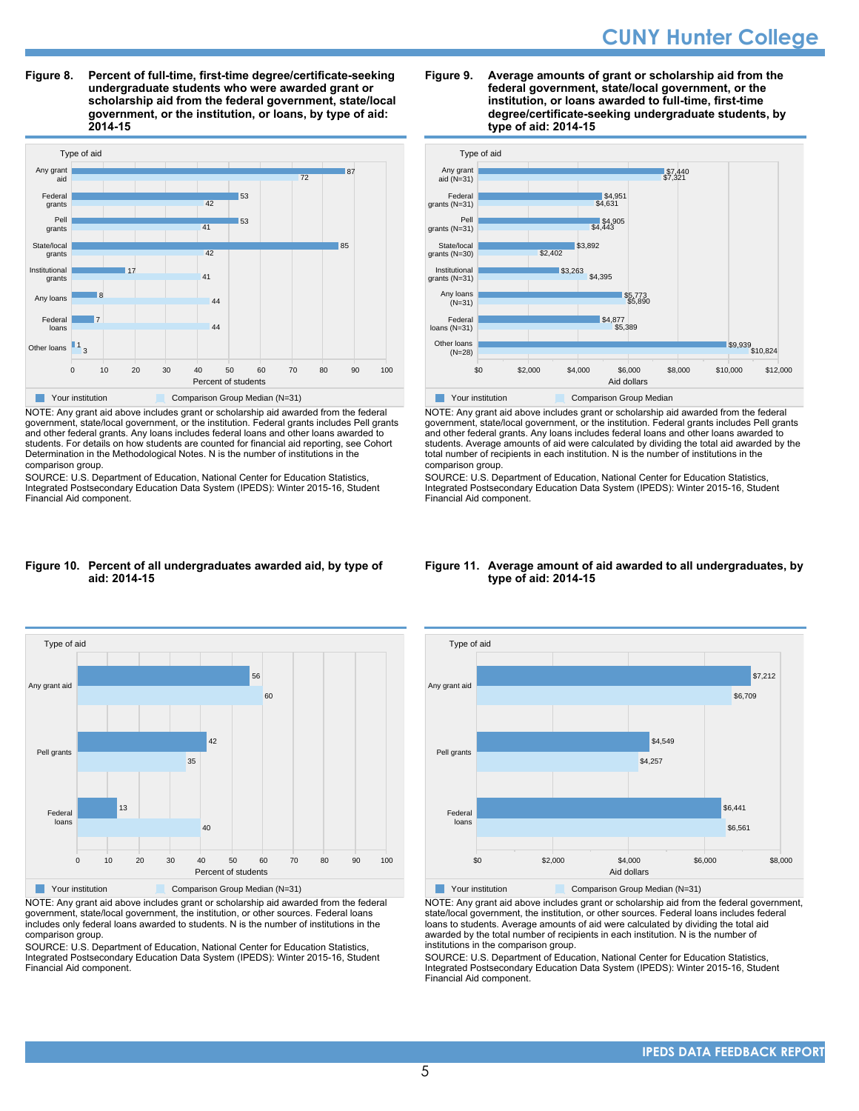**Figure 8. Percent of full-time, first-time degree/certificate-seeking undergraduate students who were awarded grant or scholarship aid from the federal government, state/local government, or the institution, or loans, by type of aid: 2014-15**



NOTE: Any grant aid above includes grant or scholarship aid awarded from the federal government, state/local government, or the institution. Federal grants includes Pell grants and other federal grants. Any loans includes federal loans and other loans awarded to students. For details on how students are counted for financial aid reporting, see Cohort Determination in the Methodological Notes. N is the number of institutions in the comparison group.

SOURCE: U.S. Department of Education, National Center for Education Statistics, Integrated Postsecondary Education Data System (IPEDS): Winter 2015-16, Student Financial Aid component.

#### **Figure 9. Average amounts of grant or scholarship aid from the federal government, state/local government, or the institution, or loans awarded to full-time, first-time degree/certificate-seeking undergraduate students, by type of aid: 2014-15**



NOTE: Any grant aid above includes grant or scholarship aid awarded from the federal government, state/local government, or the institution. Federal grants includes Pell grants and other federal grants. Any loans includes federal loans and other loans awarded to students. Average amounts of aid were calculated by dividing the total aid awarded by the total number of recipients in each institution. N is the number of institutions in the comparison group.

SOURCE: U.S. Department of Education, National Center for Education Statistics, Integrated Postsecondary Education Data System (IPEDS): Winter 2015-16, Student Financial Aid component.

#### **Figure 10. Percent of all undergraduates awarded aid, by type of aid: 2014-15**



NOTE: Any grant aid above includes grant or scholarship aid awarded from the federal government, state/local government, the institution, or other sources. Federal loans includes only federal loans awarded to students. N is the number of institutions in the comparison group.

SOURCE: U.S. Department of Education, National Center for Education Statistics, Integrated Postsecondary Education Data System (IPEDS): Winter 2015-16, Student Financial Aid component.

#### **Figure 11. Average amount of aid awarded to all undergraduates, by type of aid: 2014-15**



NOTE: Any grant aid above includes grant or scholarship aid from the federal government, state/local government, the institution, or other sources. Federal loans includes federal loans to students. Average amounts of aid were calculated by dividing the total aid awarded by the total number of recipients in each institution. N is the number of institutions in the comparison group.

SOURCE: U.S. Department of Education, National Center for Education Statistics, Integrated Postsecondary Education Data System (IPEDS): Winter 2015-16, Student Financial Aid component.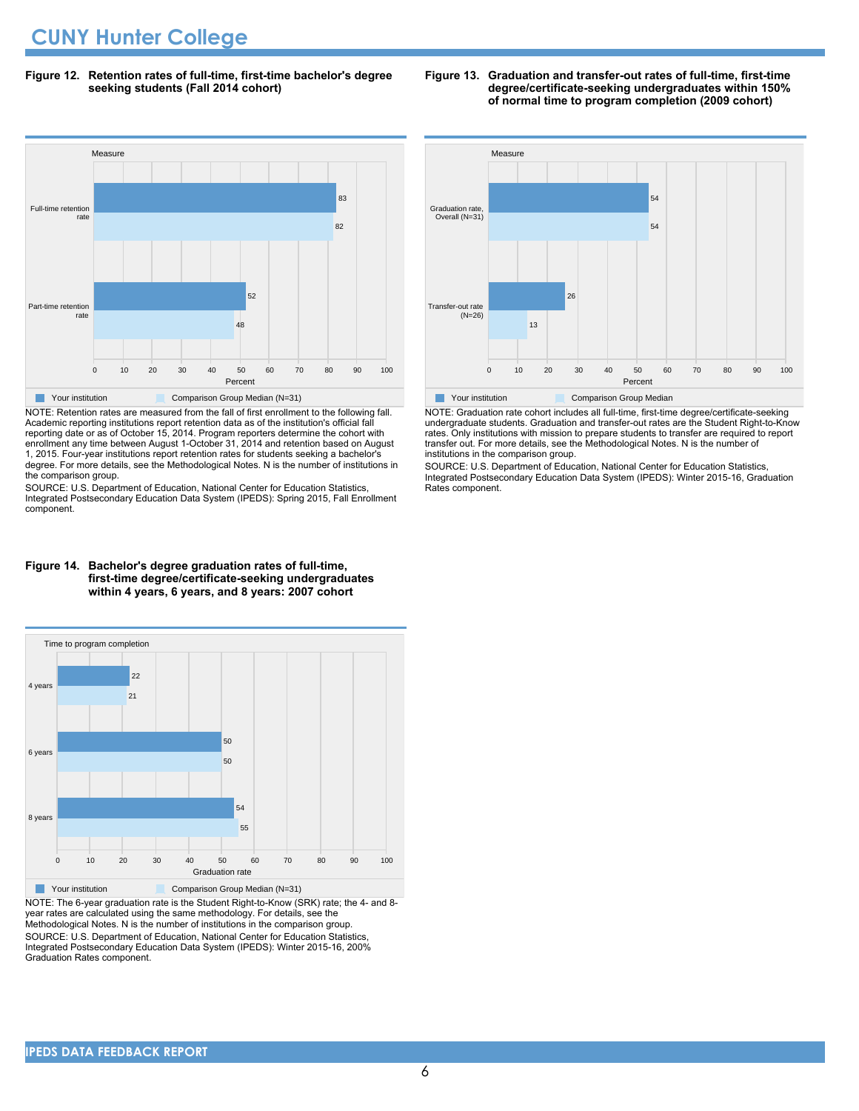**Figure 12. Retention rates of full-time, first-time bachelor's degree seeking students (Fall 2014 cohort)**



NOTE: Retention rates are measured from the fall of first enrollment to the following fall. Academic reporting institutions report retention data as of the institution's official fall reporting date or as of October 15, 2014. Program reporters determine the cohort with enrollment any time between August 1-October 31, 2014 and retention based on August 1, 2015. Four-year institutions report retention rates for students seeking a bachelor's degree. For more details, see the Methodological Notes. N is the number of institutions in the comparison group.

SOURCE: U.S. Department of Education, National Center for Education Statistics, Integrated Postsecondary Education Data System (IPEDS): Spring 2015, Fall Enrollment component.



**Figure 13. Graduation and transfer-out rates of full-time, first-time**

**degree/certificate-seeking undergraduates within 150% of normal time to program completion (2009 cohort)**

**The Your institution Comparison Group Median** 

NOTE: Graduation rate cohort includes all full-time, first-time degree/certificate-seeking undergraduate students. Graduation and transfer-out rates are the Student Right-to-Know rates. Only institutions with mission to prepare students to transfer are required to report transfer out. For more details, see the Methodological Notes. N is the number of institutions in the comparison group.

SOURCE: U.S. Department of Education, National Center for Education Statistics, Integrated Postsecondary Education Data System (IPEDS): Winter 2015-16, Graduation Rates component.

#### **first-time degree/certificate-seeking undergraduates within 4 years, 6 years, and 8 years: 2007 cohort**



NOTE: The 6-year graduation rate is the Student Right-to-Know (SRK) rate; the 4- and 8 year rates are calculated using the same methodology. For details, see the Methodological Notes. N is the number of institutions in the comparison group. SOURCE: U.S. Department of Education, National Center for Education Statistics, Integrated Postsecondary Education Data System (IPEDS): Winter 2015-16, 200% Graduation Rates component.

# **Figure 14. Bachelor's degree graduation rates of full-time,**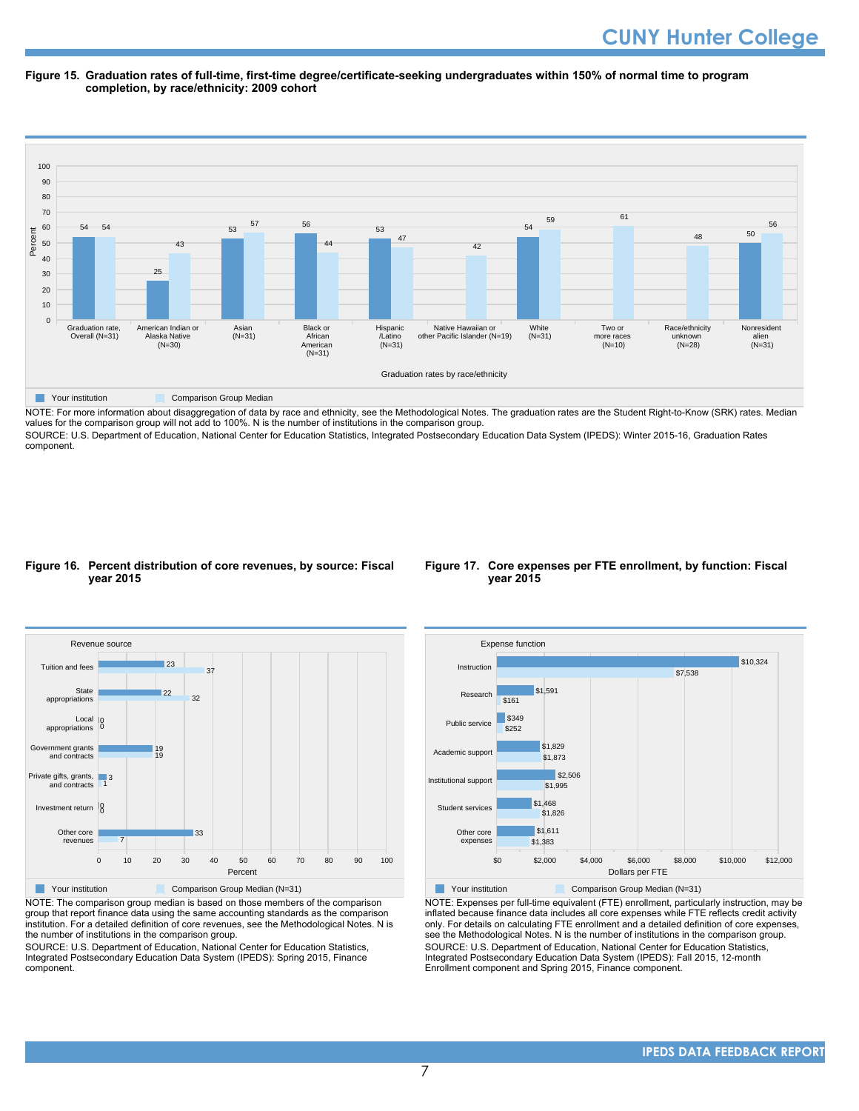#### **Figure 15. Graduation rates of full-time, first-time degree/certificate-seeking undergraduates within 150% of normal time to program completion, by race/ethnicity: 2009 cohort**



NOTE: For more information about disaggregation of data by race and ethnicity, see the Methodological Notes. The graduation rates are the Student Right-to-Know (SRK) rates. Median values for the comparison group will not add to 100%. N is the number of institutions in the comparison group.

SOURCE: U.S. Department of Education, National Center for Education Statistics, Integrated Postsecondary Education Data System (IPEDS): Winter 2015-16, Graduation Rates component.

#### **Figure 16. Percent distribution of core revenues, by source: Fiscal year 2015**





NOTE: The comparison group median is based on those members of the comparison group that report finance data using the same accounting standards as the comparison institution. For a detailed definition of core revenues, see the Methodological Notes. N is the number of institutions in the comparison group.

SOURCE: U.S. Department of Education, National Center for Education Statistics, Integrated Postsecondary Education Data System (IPEDS): Spring 2015, Finance component.



Your institution Comparison Group Median (N=31)

NOTE: Expenses per full-time equivalent (FTE) enrollment, particularly instruction, may be inflated because finance data includes all core expenses while FTE reflects credit activity only. For details on calculating FTE enrollment and a detailed definition of core expenses, see the Methodological Notes. N is the number of institutions in the comparison group. SOURCE: U.S. Department of Education, National Center for Education Statistics, Integrated Postsecondary Education Data System (IPEDS): Fall 2015, 12-month Enrollment component and Spring 2015, Finance component.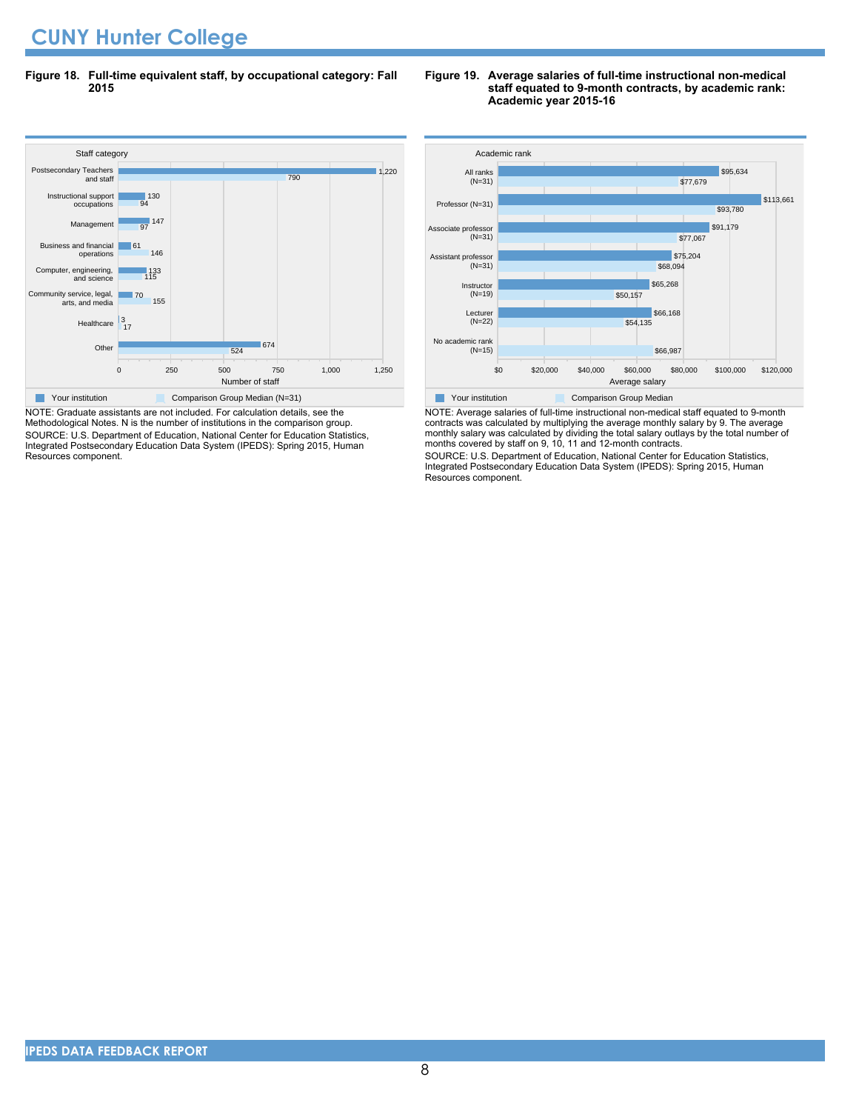**Figure 18. Full-time equivalent staff, by occupational category: Fall 2015**

#### Staff cate<br>Postsecondary Teachers 0 250 500 750 1,000 1,250 Number of staff Other Healthcare 3<br>17 Community service, legal, arts, and media Computer, engineering, and science Business and financial operations Management Instructional support occupations and staff 524 674 155 70 115 133 146 61 97  $147$ 94 | 130 790 1,220 Staff category **Your institution** Comparison Group Median (N=31)

NOTE: Graduate assistants are not included. For calculation details, see the Methodological Notes. N is the number of institutions in the comparison group. SOURCE: U.S. Department of Education, National Center for Education Statistics, Integrated Postsecondary Education Data System (IPEDS): Spring 2015, Human Resources component.

#### **Figure 19. Average salaries of full-time instructional non-medical staff equated to 9-month contracts, by academic rank: Academic year 2015-16**



NOTE: Average salaries of full-time instructional non-medical staff equated to 9-month contracts was calculated by multiplying the average monthly salary by 9. The average monthly salary was calculated by dividing the total salary outlays by the total number of months covered by staff on 9, 10, 11 and 12-month contracts.

SOURCE: U.S. Department of Education, National Center for Education Statistics, Integrated Postsecondary Education Data System (IPEDS): Spring 2015, Human Resources component.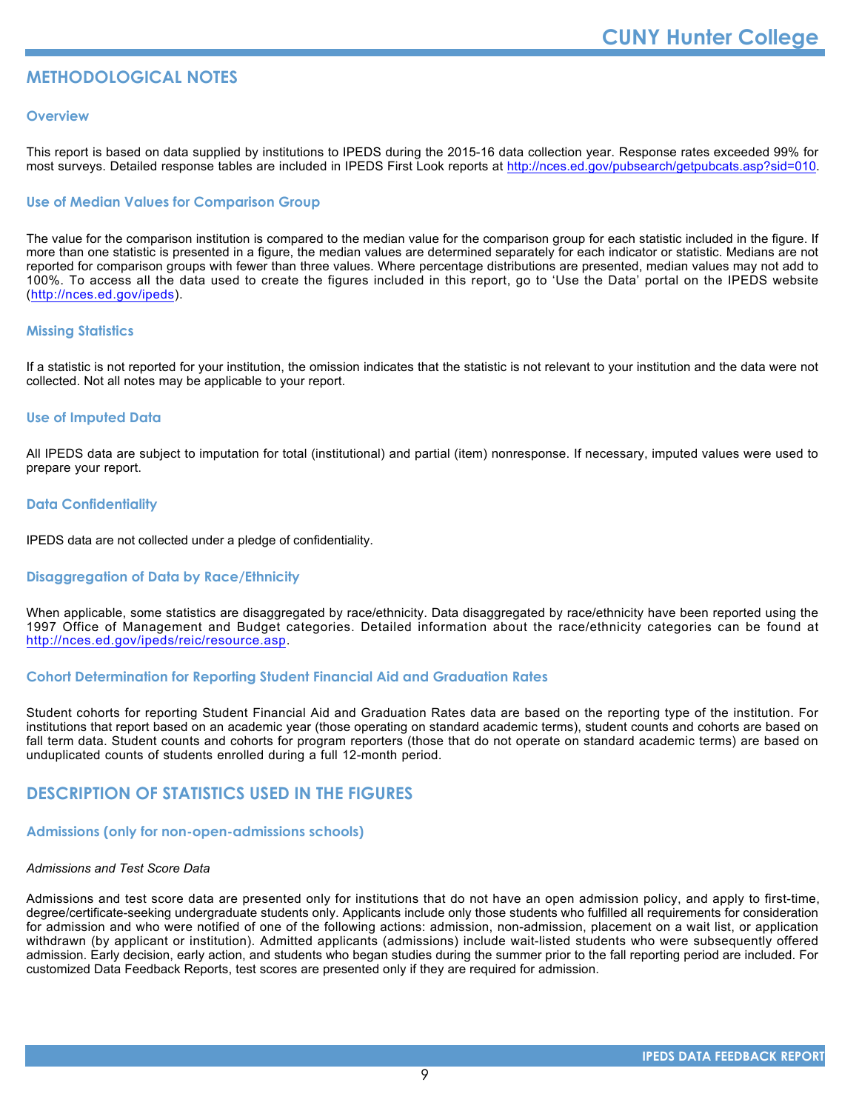#### **METHODOLOGICAL NOTES**

#### **Overview**

This report is based on data supplied by institutions to IPEDS during the 2015-16 data collection year. Response rates exceeded 99% for most surveys. Detailed response tables are included in IPEDS First Look reports at [http://nces.ed.gov/pubsearch/getpubcats.asp?sid=010.](http://nces.ed.gov/pubsearch/getpubcats.asp?sid=010)

#### **Use of Median Values for Comparison Group**

The value for the comparison institution is compared to the median value for the comparison group for each statistic included in the figure. If more than one statistic is presented in a figure, the median values are determined separately for each indicator or statistic. Medians are not reported for comparison groups with fewer than three values. Where percentage distributions are presented, median values may not add to 100%. To access all the data used to create the figures included in this report, go to 'Use the Data' portal on the IPEDS website (<http://nces.ed.gov/ipeds>).

#### **Missing Statistics**

If a statistic is not reported for your institution, the omission indicates that the statistic is not relevant to your institution and the data were not collected. Not all notes may be applicable to your report.

#### **Use of Imputed Data**

All IPEDS data are subject to imputation for total (institutional) and partial (item) nonresponse. If necessary, imputed values were used to prepare your report.

#### **Data Confidentiality**

IPEDS data are not collected under a pledge of confidentiality.

#### **Disaggregation of Data by Race/Ethnicity**

When applicable, some statistics are disaggregated by race/ethnicity. Data disaggregated by race/ethnicity have been reported using the 1997 Office of Management and Budget categories. Detailed information about the race/ethnicity categories can be found at <http://nces.ed.gov/ipeds/reic/resource.asp>.

#### **Cohort Determination for Reporting Student Financial Aid and Graduation Rates**

Student cohorts for reporting Student Financial Aid and Graduation Rates data are based on the reporting type of the institution. For institutions that report based on an academic year (those operating on standard academic terms), student counts and cohorts are based on fall term data. Student counts and cohorts for program reporters (those that do not operate on standard academic terms) are based on unduplicated counts of students enrolled during a full 12-month period.

#### **DESCRIPTION OF STATISTICS USED IN THE FIGURES**

#### **Admissions (only for non-open-admissions schools)**

#### *Admissions and Test Score Data*

Admissions and test score data are presented only for institutions that do not have an open admission policy, and apply to first-time, degree/certificate-seeking undergraduate students only. Applicants include only those students who fulfilled all requirements for consideration for admission and who were notified of one of the following actions: admission, non-admission, placement on a wait list, or application withdrawn (by applicant or institution). Admitted applicants (admissions) include wait-listed students who were subsequently offered admission. Early decision, early action, and students who began studies during the summer prior to the fall reporting period are included. For customized Data Feedback Reports, test scores are presented only if they are required for admission.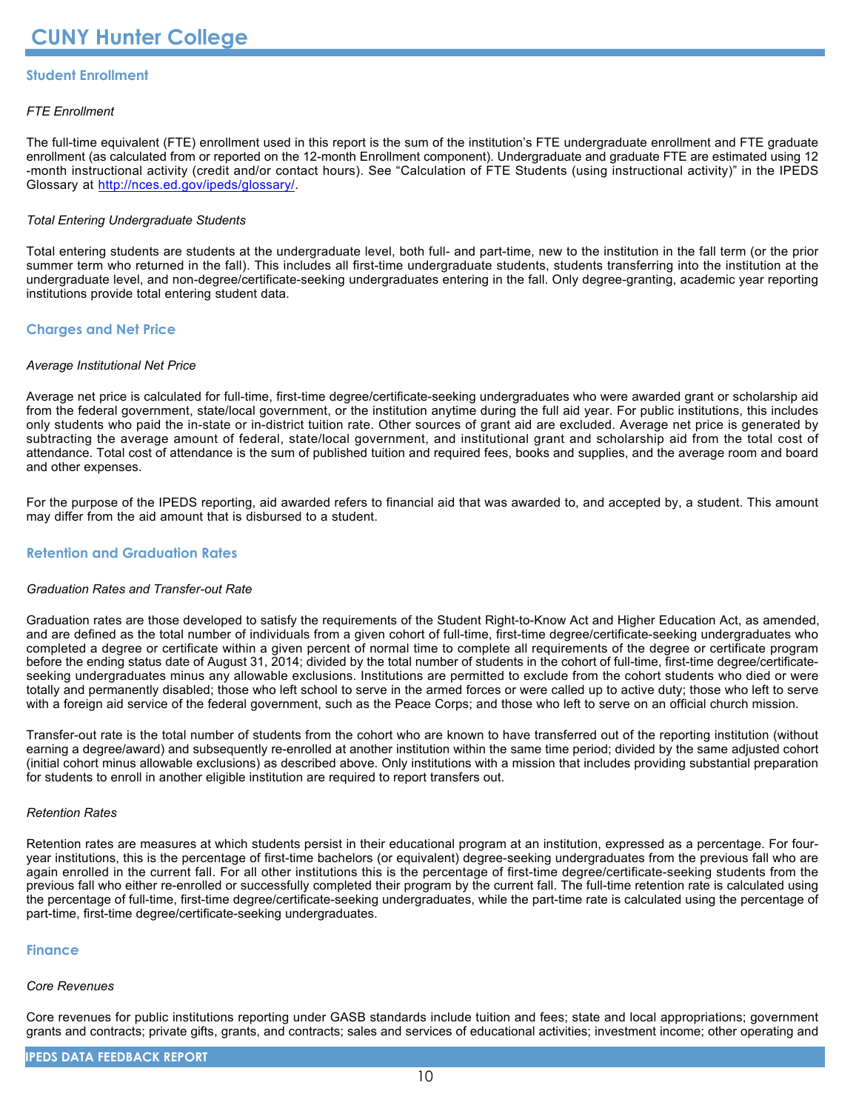#### **Student Enrollment**

#### *FTE Enrollment*

The full-time equivalent (FTE) enrollment used in this report is the sum of the institution's FTE undergraduate enrollment and FTE graduate enrollment (as calculated from or reported on the 12-month Enrollment component). Undergraduate and graduate FTE are estimated using 12 -month instructional activity (credit and/or contact hours). See "Calculation of FTE Students (using instructional activity)" in the IPEDS Glossary at <http://nces.ed.gov/ipeds/glossary/>.

#### *Total Entering Undergraduate Students*

Total entering students are students at the undergraduate level, both full- and part-time, new to the institution in the fall term (or the prior summer term who returned in the fall). This includes all first-time undergraduate students, students transferring into the institution at the undergraduate level, and non-degree/certificate-seeking undergraduates entering in the fall. Only degree-granting, academic year reporting institutions provide total entering student data.

#### **Charges and Net Price**

#### *Average Institutional Net Price*

Average net price is calculated for full-time, first-time degree/certificate-seeking undergraduates who were awarded grant or scholarship aid from the federal government, state/local government, or the institution anytime during the full aid year. For public institutions, this includes only students who paid the in-state or in-district tuition rate. Other sources of grant aid are excluded. Average net price is generated by subtracting the average amount of federal, state/local government, and institutional grant and scholarship aid from the total cost of attendance. Total cost of attendance is the sum of published tuition and required fees, books and supplies, and the average room and board and other expenses.

For the purpose of the IPEDS reporting, aid awarded refers to financial aid that was awarded to, and accepted by, a student. This amount may differ from the aid amount that is disbursed to a student.

#### **Retention and Graduation Rates**

#### *Graduation Rates and Transfer-out Rate*

Graduation rates are those developed to satisfy the requirements of the Student Right-to-Know Act and Higher Education Act, as amended, and are defined as the total number of individuals from a given cohort of full-time, first-time degree/certificate-seeking undergraduates who completed a degree or certificate within a given percent of normal time to complete all requirements of the degree or certificate program before the ending status date of August 31, 2014; divided by the total number of students in the cohort of full-time, first-time degree/certificateseeking undergraduates minus any allowable exclusions. Institutions are permitted to exclude from the cohort students who died or were totally and permanently disabled; those who left school to serve in the armed forces or were called up to active duty; those who left to serve with a foreign aid service of the federal government, such as the Peace Corps; and those who left to serve on an official church mission.

Transfer-out rate is the total number of students from the cohort who are known to have transferred out of the reporting institution (without earning a degree/award) and subsequently re-enrolled at another institution within the same time period; divided by the same adjusted cohort (initial cohort minus allowable exclusions) as described above. Only institutions with a mission that includes providing substantial preparation for students to enroll in another eligible institution are required to report transfers out.

#### *Retention Rates*

Retention rates are measures at which students persist in their educational program at an institution, expressed as a percentage. For fouryear institutions, this is the percentage of first-time bachelors (or equivalent) degree-seeking undergraduates from the previous fall who are again enrolled in the current fall. For all other institutions this is the percentage of first-time degree/certificate-seeking students from the previous fall who either re-enrolled or successfully completed their program by the current fall. The full-time retention rate is calculated using the percentage of full-time, first-time degree/certificate-seeking undergraduates, while the part-time rate is calculated using the percentage of part-time, first-time degree/certificate-seeking undergraduates.

#### **Finance**

#### *Core Revenues*

Core revenues for public institutions reporting under GASB standards include tuition and fees; state and local appropriations; government grants and contracts; private gifts, grants, and contracts; sales and services of educational activities; investment income; other operating and